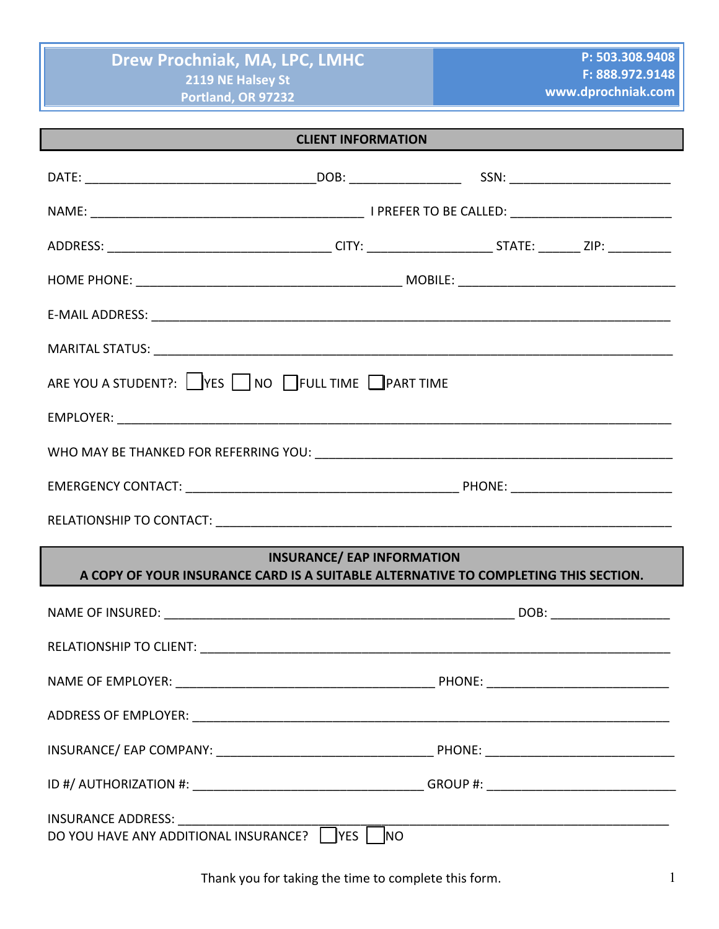| <b>CLIENT INFORMATION</b>                                                           |                                   |  |  |  |  |  |  |
|-------------------------------------------------------------------------------------|-----------------------------------|--|--|--|--|--|--|
|                                                                                     |                                   |  |  |  |  |  |  |
|                                                                                     |                                   |  |  |  |  |  |  |
|                                                                                     |                                   |  |  |  |  |  |  |
|                                                                                     |                                   |  |  |  |  |  |  |
|                                                                                     |                                   |  |  |  |  |  |  |
|                                                                                     |                                   |  |  |  |  |  |  |
| ARE YOU A STUDENT?: VES NO FULL TIME PART TIME                                      |                                   |  |  |  |  |  |  |
|                                                                                     |                                   |  |  |  |  |  |  |
|                                                                                     |                                   |  |  |  |  |  |  |
|                                                                                     |                                   |  |  |  |  |  |  |
|                                                                                     |                                   |  |  |  |  |  |  |
| A COPY OF YOUR INSURANCE CARD IS A SUITABLE ALTERNATIVE TO COMPLETING THIS SECTION. | <b>INSURANCE/ EAP INFORMATION</b> |  |  |  |  |  |  |
|                                                                                     |                                   |  |  |  |  |  |  |
|                                                                                     |                                   |  |  |  |  |  |  |
|                                                                                     |                                   |  |  |  |  |  |  |
|                                                                                     |                                   |  |  |  |  |  |  |
|                                                                                     |                                   |  |  |  |  |  |  |
|                                                                                     |                                   |  |  |  |  |  |  |
| INSURANCE ADDRESS:<br>DO YOU HAVE ANY ADDITIONAL INSURANCE?                         | YES  <br><b>NO</b>                |  |  |  |  |  |  |

Thank you for taking the time to complete this form. Thank you for taking the time to complete this form.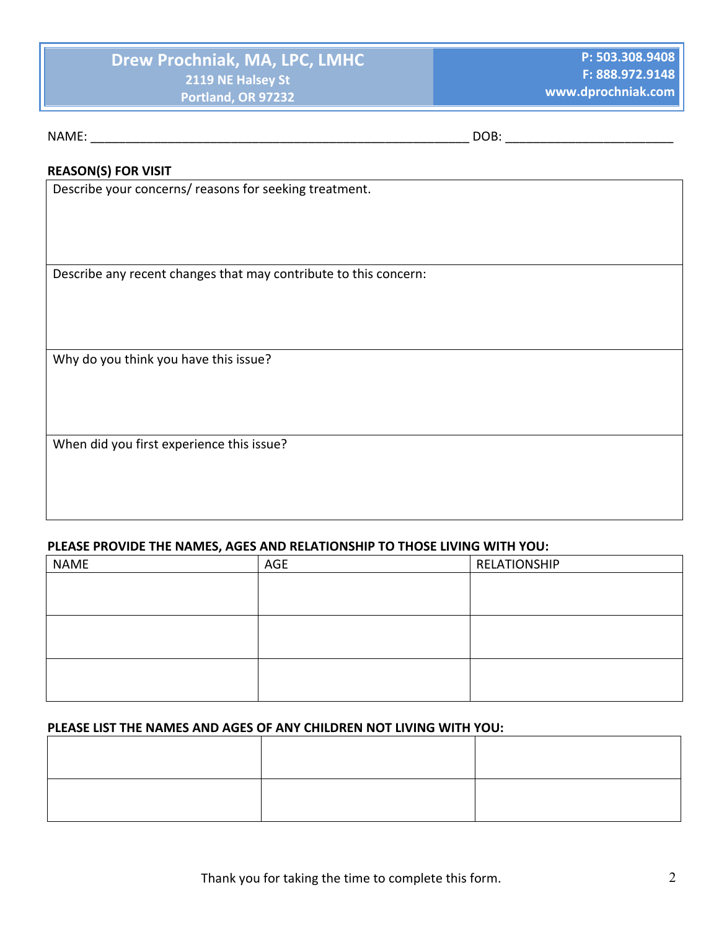NAME: where the contract of the contract of the contract of the contract of the contract of the contract of the contract of the contract of the contract of the contract of the contract of the contract of the contract of th

### **REASON(S) FOR VISIT**

Describe your concerns/ reasons for seeking treatment.

Describe any recent changes that may contribute to this concern:

Why do you think you have this issue?

When did you first experience this issue?

### **PLEASE PROVIDE THE NAMES, AGES AND RELATIONSHIP TO THOSE LIVING WITH YOU:**

| <b>NAME</b> | AGE | RELATIONSHIP |
|-------------|-----|--------------|
|             |     |              |
|             |     |              |
|             |     |              |
|             |     |              |
|             |     |              |
|             |     |              |

### **PLEASE LIST THE NAMES AND AGES OF ANY CHILDREN NOT LIVING WITH YOU:**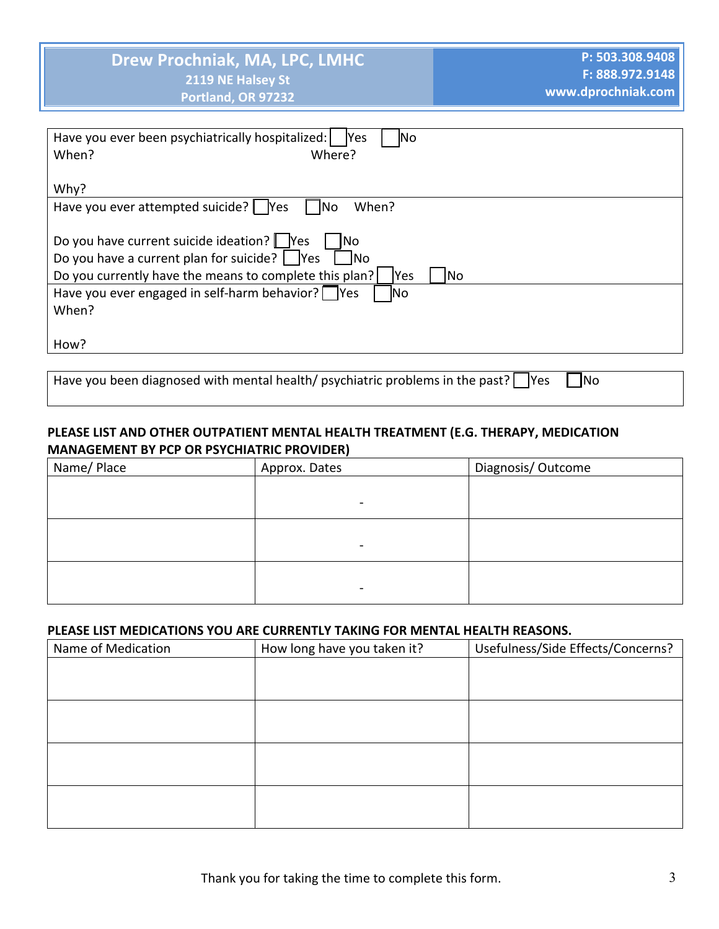| Have you ever been psychiatrically hospitalized:<br><b>Yes</b><br>lNo |
|-----------------------------------------------------------------------|
| When?<br>Where?                                                       |
|                                                                       |
| Why?                                                                  |
| Have you ever attempted suicide?   Yes<br>When?<br> No                |
|                                                                       |
| Do you have current suicide ideation?   Yes<br>No                     |
| Do you have a current plan for suicide? $ $ Yes<br><b>No</b>          |
| Do you currently have the means to complete this plan?<br>lYes<br> No |
| Have you ever engaged in self-harm behavior? $\Box$ Yes<br>lNo        |
| When?                                                                 |
|                                                                       |
| How?                                                                  |
|                                                                       |

Have you been diagnosed with mental health/ psychiatric problems in the past?  $\Box$  Yes  $\Box$  No

# PLEASE LIST AND OTHER OUTPATIENT MENTAL HEALTH TREATMENT (E.G. THERAPY, MEDICATION **MANAGEMENT BY PCP OR PSYCHIATRIC PROVIDER)**

| Name/ Place | Approx. Dates | Diagnosis/Outcome |
|-------------|---------------|-------------------|
|             |               |                   |
|             |               |                   |
|             |               |                   |
|             |               |                   |
|             |               |                   |
|             |               |                   |

### PLEASE LIST MEDICATIONS YOU ARE CURRENTLY TAKING FOR MENTAL HEALTH REASONS.

| Name of Medication | How long have you taken it? | Usefulness/Side Effects/Concerns? |
|--------------------|-----------------------------|-----------------------------------|
|                    |                             |                                   |
|                    |                             |                                   |
|                    |                             |                                   |
|                    |                             |                                   |
|                    |                             |                                   |
|                    |                             |                                   |
|                    |                             |                                   |
|                    |                             |                                   |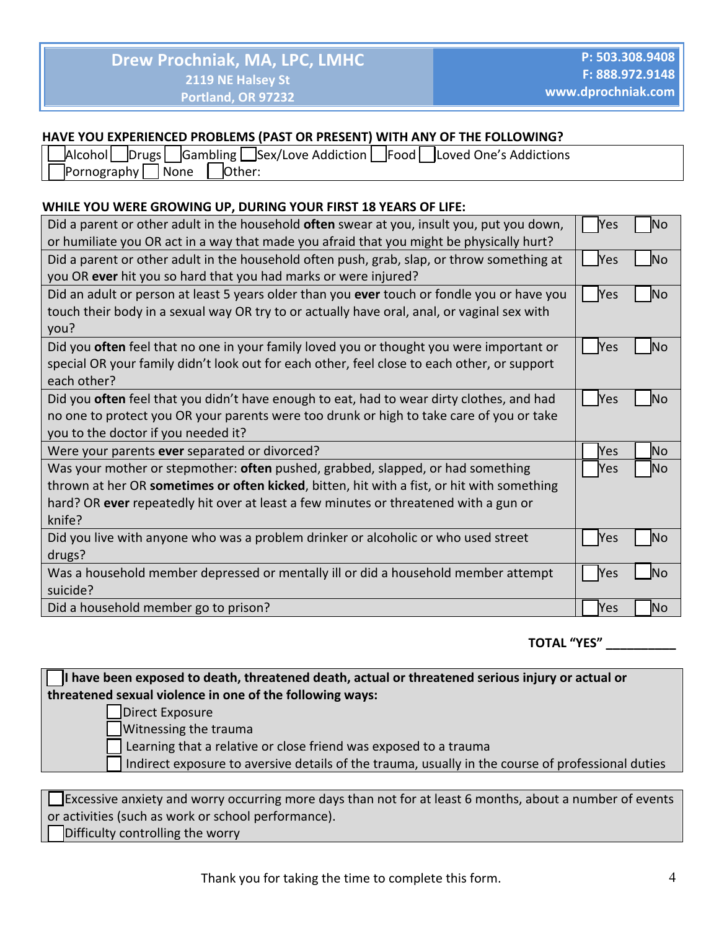### HAVE YOU EXPERIENCED PROBLEMS (PAST OR PRESENT) WITH ANY OF THE FOLLOWING?

| Drugs  Gambling Sex/Love Addiction   Food   Loved One's Addictions<br>Alcoholl |  |
|--------------------------------------------------------------------------------|--|
| Pornography<br>Other:<br>  None                                                |  |

### WHILE YOU WERE GROWING UP, DURING YOUR FIRST 18 YEARS OF LIFE:

| Did a parent or other adult in the household <b>often</b> swear at you, insult you, put you down, | Yes        | No        |
|---------------------------------------------------------------------------------------------------|------------|-----------|
| or humiliate you OR act in a way that made you afraid that you might be physically hurt?          |            |           |
| Did a parent or other adult in the household often push, grab, slap, or throw something at        | Yes        | Νo        |
| you OR ever hit you so hard that you had marks or were injured?                                   |            |           |
| Did an adult or person at least 5 years older than you ever touch or fondle you or have you       | Yes        | No        |
| touch their body in a sexual way OR try to or actually have oral, anal, or vaginal sex with       |            |           |
| you?                                                                                              |            |           |
| Did you often feel that no one in your family loved you or thought you were important or          | Yes        | No        |
| special OR your family didn't look out for each other, feel close to each other, or support       |            |           |
| each other?                                                                                       |            |           |
| Did you often feel that you didn't have enough to eat, had to wear dirty clothes, and had         | <b>Yes</b> | No        |
| no one to protect you OR your parents were too drunk or high to take care of you or take          |            |           |
| you to the doctor if you needed it?                                                               |            |           |
| Were your parents ever separated or divorced?                                                     | Yes        | No        |
| Was your mother or stepmother: often pushed, grabbed, slapped, or had something                   | Yes        | No        |
| thrown at her OR sometimes or often kicked, bitten, hit with a fist, or hit with something        |            |           |
| hard? OR ever repeatedly hit over at least a few minutes or threatened with a gun or              |            |           |
| knife?                                                                                            |            |           |
| Did you live with anyone who was a problem drinker or alcoholic or who used street                | Yes        | Νo        |
| drugs?                                                                                            |            |           |
| Was a household member depressed or mentally ill or did a household member attempt                | Yes        | No        |
| suicide?                                                                                          |            |           |
| Did a household member go to prison?                                                              | Yes        | <b>No</b> |

**TOTAL "YES"** \_\_\_\_\_\_\_\_\_\_\_\_

| I have been exposed to death, threatened death, actual or threatened serious injury or actual or         |  |  |  |  |
|----------------------------------------------------------------------------------------------------------|--|--|--|--|
| threatened sexual violence in one of the following ways:                                                 |  |  |  |  |
| Direct Exposure                                                                                          |  |  |  |  |
| Witnessing the trauma                                                                                    |  |  |  |  |
| Learning that a relative or close friend was exposed to a trauma                                         |  |  |  |  |
| Indirect exposure to aversive details of the trauma, usually in the course of professional duties        |  |  |  |  |
|                                                                                                          |  |  |  |  |
| Excessive anxiety and worry occurring more days than not for at least 6 months, about a number of events |  |  |  |  |
| or activities (such as work or school performance).                                                      |  |  |  |  |

Difficulty controlling the worry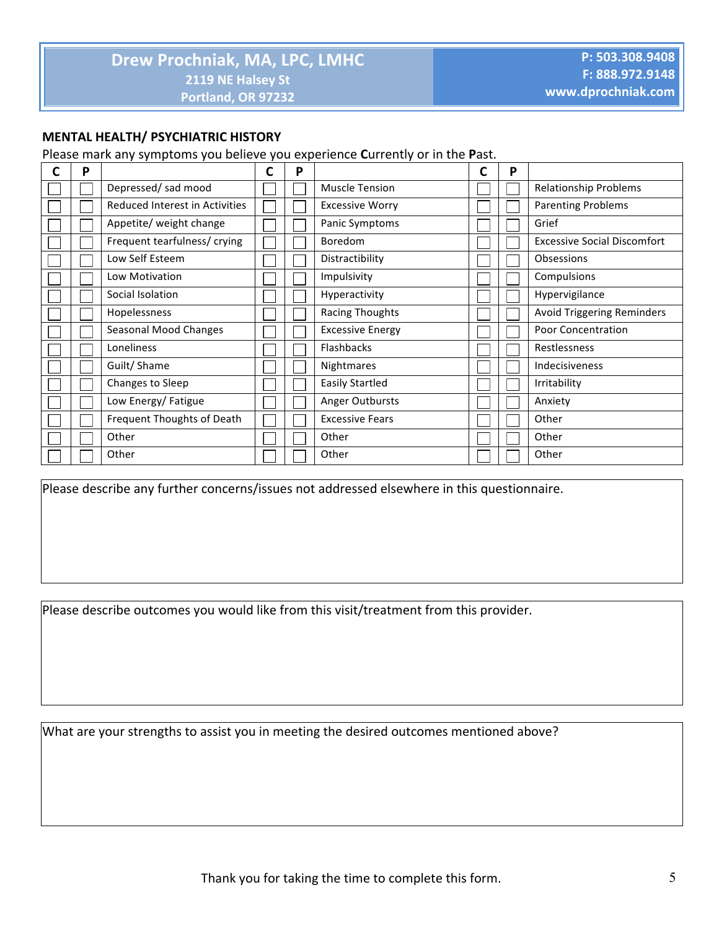### **MENTAL HEALTH/ PSYCHIATRIC HISTORY**

Please mark any symptoms you believe you experience Currently or in the Past.

| P |                                       | C | P |                         | D |                                    |
|---|---------------------------------------|---|---|-------------------------|---|------------------------------------|
|   | Depressed/sad mood                    |   |   | <b>Muscle Tension</b>   |   | <b>Relationship Problems</b>       |
|   | <b>Reduced Interest in Activities</b> |   |   | <b>Excessive Worry</b>  |   | <b>Parenting Problems</b>          |
|   | Appetite/ weight change               |   |   | Panic Symptoms          |   | Grief                              |
|   | Frequent tearfulness/ crying          |   |   | <b>Boredom</b>          |   | <b>Excessive Social Discomfort</b> |
|   | Low Self Esteem                       |   |   | Distractibility         |   | Obsessions                         |
|   | Low Motivation                        |   |   | Impulsivity             |   | Compulsions                        |
|   | Social Isolation                      |   |   | Hyperactivity           |   | Hypervigilance                     |
|   | Hopelessness                          |   |   | <b>Racing Thoughts</b>  |   | <b>Avoid Triggering Reminders</b>  |
|   | <b>Seasonal Mood Changes</b>          |   |   | <b>Excessive Energy</b> |   | <b>Poor Concentration</b>          |
|   | Loneliness                            |   |   | <b>Flashbacks</b>       |   | <b>Restlessness</b>                |
|   | Guilt/Shame                           |   |   | Nightmares              |   | Indecisiveness                     |
|   | Changes to Sleep                      |   |   | <b>Easily Startled</b>  |   | Irritability                       |
|   | Low Energy/ Fatigue                   |   |   | Anger Outbursts         |   | Anxiety                            |
|   | Frequent Thoughts of Death            |   |   | <b>Excessive Fears</b>  |   | Other                              |
|   | Other                                 |   |   | Other                   |   | Other                              |
|   | Other                                 |   |   | Other                   |   | Other                              |

Please describe any further concerns/issues not addressed elsewhere in this questionnaire.

Please describe outcomes you would like from this visit/treatment from this provider.

What are your strengths to assist you in meeting the desired outcomes mentioned above?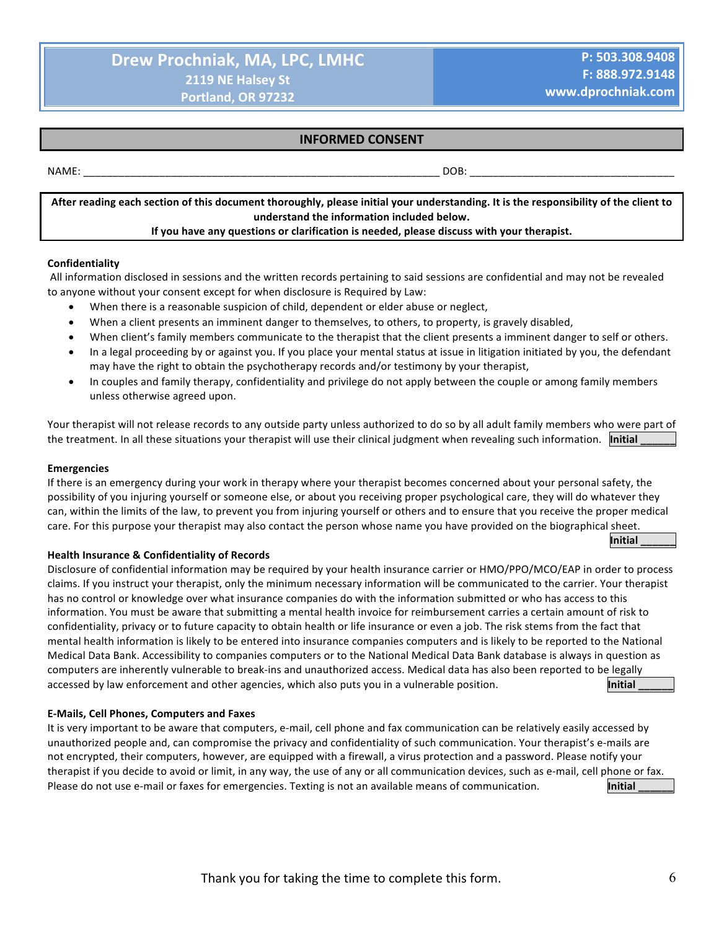**Initial \_\_\_\_\_\_**

### **INFORMED CONSENT**

#### NAME: \_\_\_\_\_\_\_\_\_\_\_\_\_\_\_\_\_\_\_\_\_\_\_\_\_\_\_\_\_\_\_\_\_\_\_\_\_\_\_\_\_\_\_\_\_\_\_\_\_\_\_\_\_\_\_\_\_\_\_\_\_ DOB: \_\_\_\_\_\_\_\_\_\_\_\_\_\_\_\_\_\_\_\_\_\_\_\_\_\_\_\_\_\_\_\_\_\_\_

After reading each section of this document thoroughly, please initial your understanding. It is the responsibility of the client to understand the information included below.

#### If you have any questions or clarification is needed, please discuss with your therapist.

#### **Confidentiality**

All information disclosed in sessions and the written records pertaining to said sessions are confidential and may not be revealed to anyone without your consent except for when disclosure is Required by Law:

- When there is a reasonable suspicion of child, dependent or elder abuse or neglect,
- When a client presents an imminent danger to themselves, to others, to property, is gravely disabled,
- When client's family members communicate to the therapist that the client presents a imminent danger to self or others.
- In a legal proceeding by or against you. If you place your mental status at issue in litigation initiated by you, the defendant may have the right to obtain the psychotherapy records and/or testimony by your therapist,
- In couples and family therapy, confidentiality and privilege do not apply between the couple or among family members unless otherwise agreed upon.

Your therapist will not release records to any outside party unless authorized to do so by all adult family members who were part of the treatment. In all these situations your therapist will use their clinical judgment when revealing such information. **Initial** 

#### **Emergencies**

If there is an emergency during your work in therapy where your therapist becomes concerned about your personal safety, the possibility of you injuring yourself or someone else, or about you receiving proper psychological care, they will do whatever they can, within the limits of the law, to prevent you from injuring yourself or others and to ensure that you receive the proper medical care. For this purpose your therapist may also contact the person whose name you have provided on the biographical sheet.

#### **Health Insurance & Confidentiality of Records**

Disclosure of confidential information may be required by your health insurance carrier or HMO/PPO/MCO/EAP in order to process claims. If you instruct your therapist, only the minimum necessary information will be communicated to the carrier. Your therapist has no control or knowledge over what insurance companies do with the information submitted or who has access to this information. You must be aware that submitting a mental health invoice for reimbursement carries a certain amount of risk to confidentiality, privacy or to future capacity to obtain health or life insurance or even a job. The risk stems from the fact that mental health information is likely to be entered into insurance companies computers and is likely to be reported to the National Medical Data Bank. Accessibility to companies computers or to the National Medical Data Bank database is always in question as computers are inherently vulnerable to break-ins and unauthorized access. Medical data has also been reported to be legally accessed by law enforcement and other agencies, which also puts you in a vulnerable position. **In the accessed** by law enforcement and other agencies, which also puts you in a vulnerable position.

#### **E-Mails, Cell Phones, Computers and Faxes**

It is very important to be aware that computers, e-mail, cell phone and fax communication can be relatively easily accessed by unauthorized people and, can compromise the privacy and confidentiality of such communication. Your therapist's e-mails are not encrypted, their computers, however, are equipped with a firewall, a virus protection and a password. Please notify your therapist if you decide to avoid or limit, in any way, the use of any or all communication devices, such as e-mail, cell phone or fax. Please do not use e-mail or faxes for emergencies. Texting is not an available means of communication.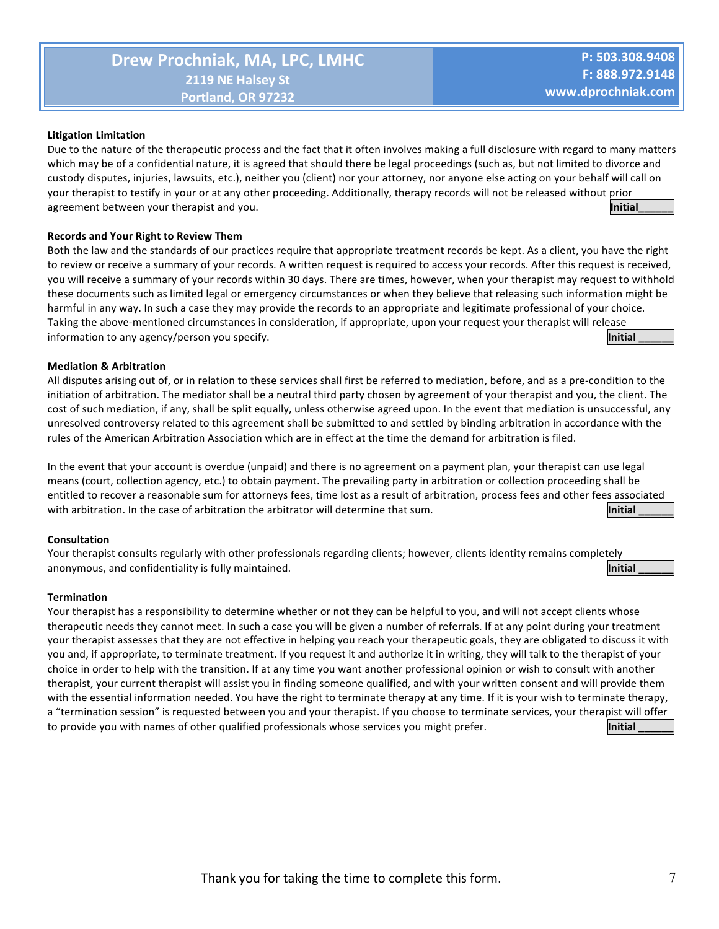#### **Litigation Limitation**

Due to the nature of the therapeutic process and the fact that it often involves making a full disclosure with regard to many matters which may be of a confidential nature, it is agreed that should there be legal proceedings (such as, but not limited to divorce and custody disputes, injuries, lawsuits, etc.), neither you (client) nor your attorney, nor anyone else acting on your behalf will call on your therapist to testify in your or at any other proceeding. Additionally, therapy records will not be released without prior agreement between your therapist and you. **A summary of the set of the set of the set of the set of the set of t** 

#### **Records and Your Right to Review Them**

Both the law and the standards of our practices require that appropriate treatment records be kept. As a client, you have the right to review or receive a summary of your records. A written request is required to access your records. After this request is received, you will receive a summary of your records within 30 days. There are times, however, when your therapist may request to withhold these documents such as limited legal or emergency circumstances or when they believe that releasing such information might be harmful in any way. In such a case they may provide the records to an appropriate and legitimate professional of your choice. Taking the above-mentioned circumstances in consideration, if appropriate, upon your request your therapist will release information to any agency/person you specify. **All any only any of the set of the set of the set of the set of the set of the set of the set of the set of the set of the set of the set of the set of the set of the set of t** 

#### **Mediation & Arbitration**

All disputes arising out of, or in relation to these services shall first be referred to mediation, before, and as a pre-condition to the initiation of arbitration. The mediator shall be a neutral third party chosen by agreement of your therapist and you, the client. The cost of such mediation, if any, shall be split equally, unless otherwise agreed upon. In the event that mediation is unsuccessful, any unresolved controversy related to this agreement shall be submitted to and settled by binding arbitration in accordance with the rules of the American Arbitration Association which are in effect at the time the demand for arbitration is filed.

In the event that your account is overdue (unpaid) and there is no agreement on a payment plan, your therapist can use legal means (court, collection agency, etc.) to obtain payment. The prevailing party in arbitration or collection proceeding shall be entitled to recover a reasonable sum for attorneys fees, time lost as a result of arbitration, process fees and other fees associated with arbitration. In the case of arbitration the arbitrator will determine that sum. **Initial Initial** 

#### **Consultation**

Your therapist consults regularly with other professionals regarding clients; however, clients identity remains completely anonymous, and confidentiality is fully maintained. **All all all a continuous**  $\blacksquare$  **Initial**  $\blacksquare$ 

#### **Termination**

Your therapist has a responsibility to determine whether or not they can be helpful to you, and will not accept clients whose therapeutic needs they cannot meet. In such a case you will be given a number of referrals. If at any point during your treatment your therapist assesses that they are not effective in helping you reach your therapeutic goals, they are obligated to discuss it with you and, if appropriate, to terminate treatment. If you request it and authorize it in writing, they will talk to the therapist of your choice in order to help with the transition. If at any time you want another professional opinion or wish to consult with another therapist, your current therapist will assist you in finding someone qualified, and with your written consent and will provide them with the essential information needed. You have the right to terminate therapy at any time. If it is your wish to terminate therapy, a "termination session" is requested between you and your therapist. If you choose to terminate services, your therapist will offer to provide you with names of other qualified professionals whose services you might prefer. **The analyze of the set of the set of the set of the set of the set of the set of the set of the set of the set of the set of the**